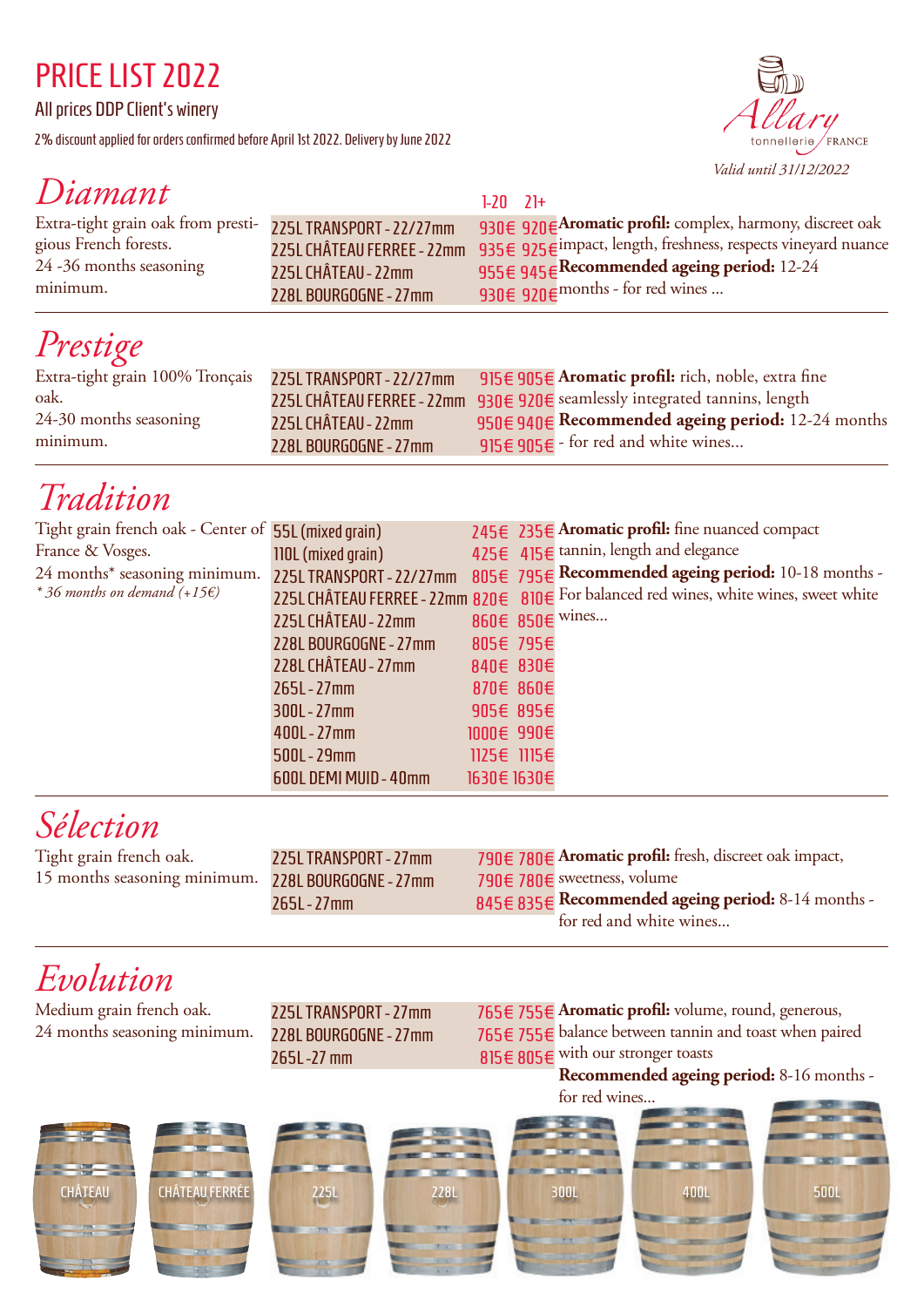#### PRICE LIST 2022

All prices DDP Client's winery

2% discount applied for orders confirmed before April 1st 2022. Delivery by June 2022



#### *Diamant*

| $D$ unnani                                                 |                            | $1-20$ $21+$                                                  |
|------------------------------------------------------------|----------------------------|---------------------------------------------------------------|
| Extra-tight grain oak from presti- 225LTRANSPORT - 22/27mm |                            | 930€ 920€ Aromatic profil: complex, harmony, discreet oak     |
| gious French forests.                                      | 225L CHÂTEAU FERREE - 22mm | 935€ 925€ impact, length, freshness, respects vineyard nuance |
| 24 -36 months seasoning                                    | 225L CHÂTEAU - 22mm        | 955€ 945€ Recommended ageing period: 12-24                    |
| minimum.                                                   | 228L BOURGOGNE - 27mm      | 930€ 920€ months - for red wines                              |

## *Prestige*

| Extra-tight grain 100% Tronçais 225L TRANSPORT - 22/27mm |                       | 915 $\epsilon$ 905 $\epsilon$ Aromatic profil: rich, noble, extra fine     |
|----------------------------------------------------------|-----------------------|----------------------------------------------------------------------------|
|                                                          |                       |                                                                            |
| oak.                                                     |                       | 225L CHÂTEAU FERREE - 22mm 930€ 920€ seamlessly integrated tannins, length |
| 24-30 months seasoning                                   | 225L CHÂTEAU - 22mm   | $950 \in 940 \in$ Recommended ageing period: 12-24 months                  |
| minimum.                                                 | 228L BOURGOGNE - 27mm | 915 $\epsilon$ 905 $\epsilon$ - for red and white wines                    |

## *Tradition*

| Tight grain french oak - Center of 55L (mixed grain) |                          |             | 245€ 235€ Aromatic profil: fine nuanced compact                                       |
|------------------------------------------------------|--------------------------|-------------|---------------------------------------------------------------------------------------|
| France & Vosges.                                     | 110L (mixed grain)       |             | 425€ 415€ tannin, length and elegance                                                 |
| 24 months* seasoning minimum.                        | 225L TRANSPORT - 22/27mm |             | 805€ 795€ Recommended ageing period: 10-18 months -                                   |
| * 36 months on demand $(+15\epsilon)$                |                          |             | 225L CHÂTEAU FERREE - 22mm 820€ 810€ For balanced red wines, white wines, sweet white |
|                                                      | 225L CHÂTEAU - 22mm      |             | 860€ 850€ wines                                                                       |
|                                                      | 228L BOURGOGNE - 27mm    | 805€ 795€   |                                                                                       |
|                                                      | 228L CHÂTEAU - 27mm      | 840€ 830€   |                                                                                       |
|                                                      | $265L - 27mm$            | 870€ 860€   |                                                                                       |
|                                                      | $300L - 27mm$            | 905€ 895€   |                                                                                       |
|                                                      | $400L - 27mm$            | 1000€ 990€  |                                                                                       |
|                                                      | $500L - 29mm$            | 1125€ 1115€ |                                                                                       |
|                                                      | 600L DEMI MUID - 40mm    | 1630€ 1630€ |                                                                                       |
|                                                      |                          |             |                                                                                       |

# *Sélection*

Tight grain french oak. 15 months seasoning minimum.

225L TRANSPORT - 27mm 228L BOURGOGNE - 27mm 265L - 27mm 790€ **Aromatic profil:** fresh, discreet oak impact, 780€ 790€ sweetness, volume 780€ 845€ 835€ Recommended ageing period: 8-14 months for red and white wines...

### *Evolution*

Medium grain french oak. 24 months seasoning minimum.

225L TRANSPORT - 27mm 228L BOURGOGNE - 27mm 265L -27 mm

755€ **Aromatic profil:** volume, round, generous, 765€ 755€ balance between tannin and toast when paired 765€ 815€ 805€ with our stronger toasts

**Recommended ageing period:** 8-16 months -